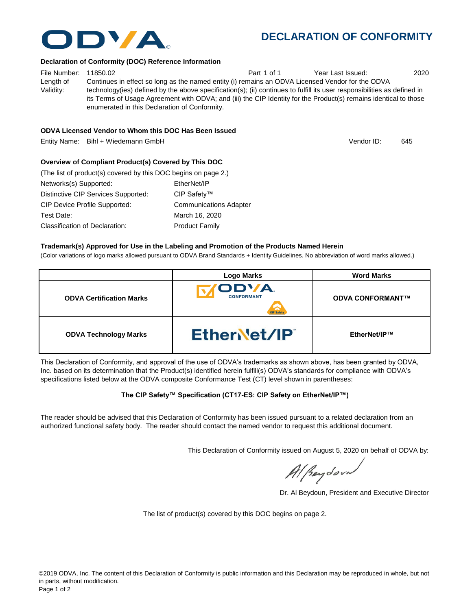

## **DECLARATION OF CONFORMITY**

Vendor ID:

#### **Declaration of Conformity (DOC) Reference Information**

File Number: 11850.02 **Part 1 of 1** Year Last Issued: 2020 Length of Validity: Continues in effect so long as the named entity (i) remains an ODVA Licensed Vendor for the ODVA technology(ies) defined by the above specification(s); (ii) continues to fulfill its user responsibilities as defined in its Terms of Usage Agreement with ODVA; and (iii) the CIP Identity for the Product(s) remains identical to those enumerated in this Declaration of Conformity.

#### **ODVA Licensed Vendor to Whom this DOC Has Been Issued**

Entity Name: Bihl + Wiedemann GmbH 645 between the control of the control of the control of the control of the control of the control of the control of the control of the control of the control of the control of the contro

**Overview of Compliant Product(s) Covered by This DOC** 

| (The list of product(s) covered by this DOC begins on page 2.) |                               |
|----------------------------------------------------------------|-------------------------------|
| Networks(s) Supported:                                         | EtherNet/IP                   |
| Distinctive CIP Services Supported:                            | CIP Safety™                   |
| CIP Device Profile Supported:                                  | <b>Communications Adapter</b> |
| Test Date:                                                     | March 16, 2020                |
| Classification of Declaration:                                 | <b>Product Family</b>         |

#### **Trademark(s) Approved for Use in the Labeling and Promotion of the Products Named Herein**

(Color variations of logo marks allowed pursuant to ODVA Brand Standards + Identity Guidelines. No abbreviation of word marks allowed.)

|                                 | <b>Logo Marks</b>               | <b>Word Marks</b>       |
|---------------------------------|---------------------------------|-------------------------|
| <b>ODVA Certification Marks</b> | ODVA.<br><b>CONFORMANT</b><br>Δ | <b>ODVA CONFORMANT™</b> |
| <b>ODVA Technology Marks</b>    | EtherNet/IP                     | EtherNet/IP™            |

This Declaration of Conformity, and approval of the use of ODVA's trademarks as shown above, has been granted by ODVA, Inc. based on its determination that the Product(s) identified herein fulfill(s) ODVA's standards for compliance with ODVA's specifications listed below at the ODVA composite Conformance Test (CT) level shown in parentheses:

#### **The CIP Safety™ Specification (CT17-ES: CIP Safety on EtherNet/IP™)**

The reader should be advised that this Declaration of Conformity has been issued pursuant to a related declaration from an authorized functional safety body. The reader should contact the named vendor to request this additional document.

This Declaration of Conformity issued on August 5, 2020 on behalf of ODVA by:

Al Beydoor

Dr. Al Beydoun, President and Executive Director

The list of product(s) covered by this DOC begins on page 2.